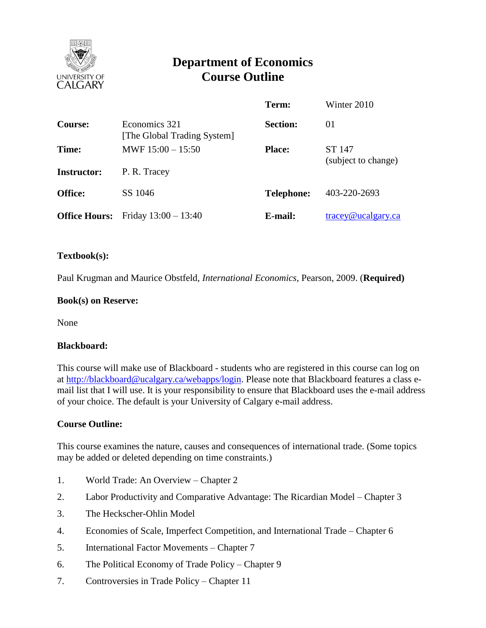

# **Department of Economics Course Outline**

|                      |                                              | Term:             | Winter 2010                      |
|----------------------|----------------------------------------------|-------------------|----------------------------------|
| <b>Course:</b>       | Economics 321<br>[The Global Trading System] | <b>Section:</b>   | 01                               |
| Time:                | MWF $15:00 - 15:50$                          | <b>Place:</b>     | ST 147                           |
| <b>Instructor:</b>   | P. R. Tracey                                 |                   | (subject to change)              |
| <b>Office:</b>       | SS 1046                                      | <b>Telephone:</b> | 403-220-2693                     |
| <b>Office Hours:</b> | Friday $13:00 - 13:40$                       | E-mail:           | $trace\$ <sub>@ucalgary.ca</sub> |

## **Textbook(s):**

Paul Krugman and Maurice Obstfeld, *International Economics*, Pearson, 2009. (**Required)**

## **Book(s) on Reserve:**

None

#### **Blackboard:**

This course will make use of Blackboard - students who are registered in this course can log on at [http://blackboard@ucalgary.ca/webapps/login.](http://blackboard@ucalgary.ca/webapps/login) Please note that Blackboard features a class email list that I will use. It is your responsibility to ensure that Blackboard uses the e-mail address of your choice. The default is your University of Calgary e-mail address.

#### **Course Outline:**

This course examines the nature, causes and consequences of international trade. (Some topics may be added or deleted depending on time constraints.)

- 1. World Trade: An Overview Chapter 2
- 2. Labor Productivity and Comparative Advantage: The Ricardian Model Chapter 3
- 3. The Heckscher-Ohlin Model
- 4. Economies of Scale, Imperfect Competition, and International Trade Chapter 6
- 5. International Factor Movements Chapter 7
- 6. The Political Economy of Trade Policy Chapter 9
- 7. Controversies in Trade Policy Chapter 11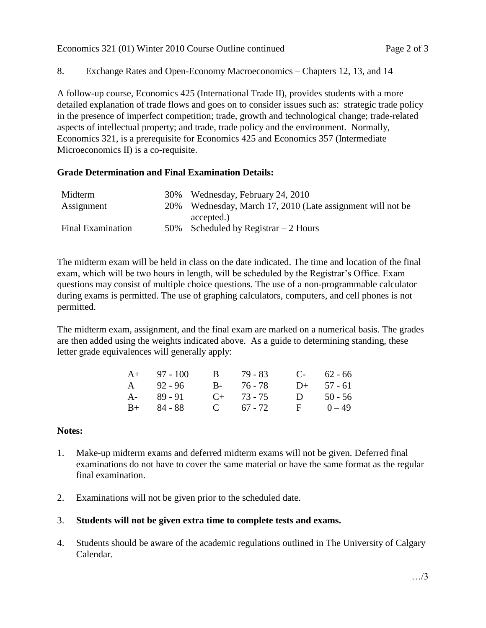8. Exchange Rates and Open-Economy Macroeconomics – Chapters 12, 13, and 14

A follow-up course, Economics 425 (International Trade II), provides students with a more detailed explanation of trade flows and goes on to consider issues such as: strategic trade policy in the presence of imperfect competition; trade, growth and technological change; trade-related aspects of intellectual property; and trade, trade policy and the environment. Normally, Economics 321, is a prerequisite for Economics 425 and Economics 357 (Intermediate Microeconomics II) is a co-requisite.

# **Grade Determination and Final Examination Details:**

| Midterm                  | 30% Wednesday, February 24, 2010                           |
|--------------------------|------------------------------------------------------------|
| Assignment               | 20% Wednesday, March 17, 2010 (Late assignment will not be |
|                          | accepted.)                                                 |
| <b>Final Examination</b> | 50% Scheduled by Registrar $-2$ Hours                      |

The midterm exam will be held in class on the date indicated. The time and location of the final exam, which will be two hours in length, will be scheduled by the Registrar's Office. Exam questions may consist of multiple choice questions. The use of a non-programmable calculator during exams is permitted. The use of graphing calculators, computers, and cell phones is not permitted.

The midterm exam, assignment, and the final exam are marked on a numerical basis. The grades are then added using the weights indicated above. As a guide to determining standing, these letter grade equivalences will generally apply:

| $A+ 97-100$   | B 79 - 83       |   | $C-$ 62 - 66 |
|---------------|-----------------|---|--------------|
| A 92 - 96     | B- 76-78        |   | $D+ 57 - 61$ |
| $A - 89 - 91$ | $C_{+}$ 73 - 75 | D | $50 - 56$    |
| $B+ 84 - 88$  | C $67 - 72$     |   | $F = 0-49$   |

# **Notes:**

- 1. Make-up midterm exams and deferred midterm exams will not be given. Deferred final examinations do not have to cover the same material or have the same format as the regular final examination.
- 2. Examinations will not be given prior to the scheduled date.

# 3. **Students will not be given extra time to complete tests and exams.**

4. Students should be aware of the academic regulations outlined in The University of Calgary Calendar.